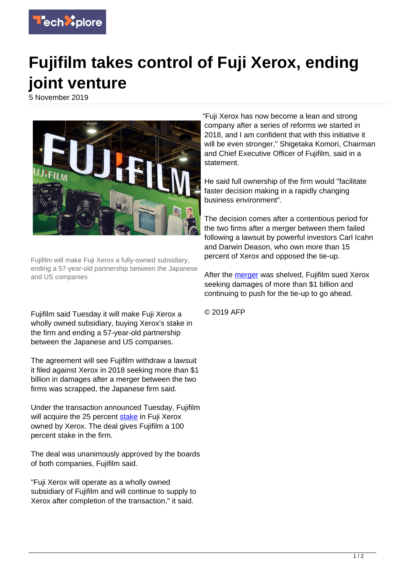

## **Fujifilm takes control of Fuji Xerox, ending joint venture**

5 November 2019



Fujifilm will make Fuji Xerox a fully-owned subsidiary, ending a 57-year-old partnership between the Japanese and US companies

Fujifilm said Tuesday it will make Fuji Xerox a wholly owned subsidiary, buying Xerox's stake in the firm and ending a 57-year-old partnership between the Japanese and US companies.

The agreement will see Fujifilm withdraw a lawsuit it filed against Xerox in 2018 seeking more than \$1 billion in damages after a merger between the two firms was scrapped, the Japanese firm said.

Under the transaction announced Tuesday, Fujifilm will acquire the 25 percent [stake](https://techxplore.com/tags/stake/) in Fuji Xerox owned by Xerox. The deal gives Fujifilm a 100 percent stake in the firm.

The deal was unanimously approved by the boards of both companies, Fujifilm said.

"Fuji Xerox will operate as a wholly owned subsidiary of Fujifilm and will continue to supply to Xerox after completion of the transaction," it said.

"Fuji Xerox has now become a lean and strong company after a series of reforms we started in 2018, and I am confident that with this initiative it will be even stronger," Shigetaka Komori, Chairman and Chief Executive Officer of Fujifilm, said in a statement.

He said full ownership of the firm would "facilitate faster decision making in a rapidly changing business environment".

The decision comes after a contentious period for the two firms after a merger between them failed following a lawsuit by powerful investors Carl Icahn and Darwin Deason, who own more than 15 percent of Xerox and opposed the tie-up.

After the [merger](https://techxplore.com/tags/merger/) was shelved, Fujifilm sued Xerox seeking damages of more than \$1 billion and continuing to push for the tie-up to go ahead.

© 2019 AFP